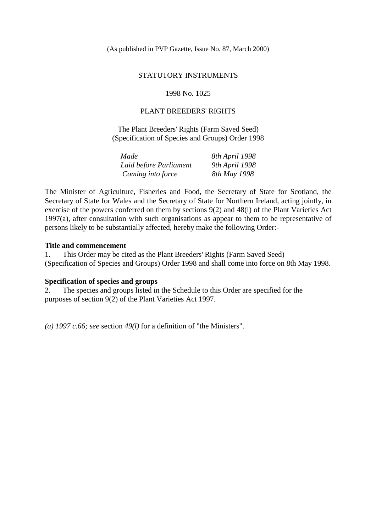(As published in PVP Gazette, Issue No. 87, March 2000)

### STATUTORY INSTRUMENTS

1998 No. 1025

## PLANT BREEDERS' RIGHTS

The Plant Breeders' Rights (Farm Saved Seed) (Specification of Species and Groups) Order 1998

| Made                   | 8th April 1998 |
|------------------------|----------------|
| Laid before Parliament | 9th April 1998 |
| Coming into force      | 8th May 1998   |

The Minister of Agriculture, Fisheries and Food, the Secretary of State for Scotland, the Secretary of State for Wales and the Secretary of State for Northern Ireland, acting jointly, in exercise of the powers conferred on them by sections 9(2) and 48(l) of the Plant Varieties Act 1997(a), after consultation with such organisations as appear to them to be representative of persons likely to be substantially affected, hereby make the following Order:-

### **Title and commencement**

1. This Order may be cited as the Plant Breeders' Rights (Farm Saved Seed) (Specification of Species and Groups) Order 1998 and shall come into force on 8th May 1998.

### **Specification of species and groups**

2. The species and groups listed in the Schedule to this Order are specified for the purposes of section 9(2) of the Plant Varieties Act 1997.

*(a) 1997 c.66; see* section *49(l)* for a definition of "the Ministers".